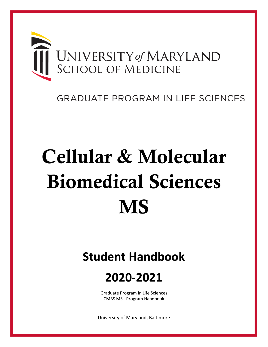

## **GRADUATE PROGRAM IN LIFE SCIENCES**

# Cellular & Molecular Biomedical Sciences **MS**

# **Student Handbook**

## **2020-2021**

Graduate Program in Life Sciences CMBS MS - Program Handbook

University of Maryland, Baltimore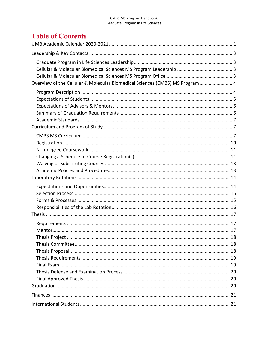## **Table of Contents**

| Overview of the Cellular & Molecular Biomedical Sciences (CMBS) MS Program 4 |  |
|------------------------------------------------------------------------------|--|
|                                                                              |  |
|                                                                              |  |
|                                                                              |  |
|                                                                              |  |
|                                                                              |  |
|                                                                              |  |
|                                                                              |  |
|                                                                              |  |
|                                                                              |  |
|                                                                              |  |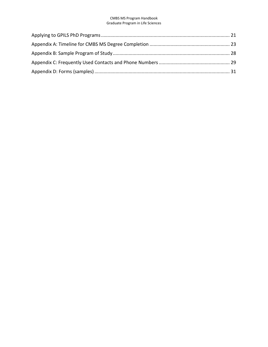<span id="page-3-0"></span>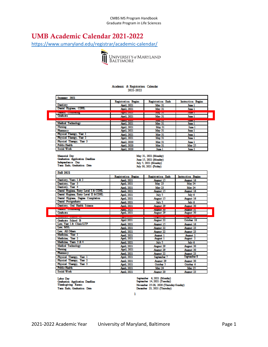## UMB Academic Calendar 2021-2022

<https://www.umaryland.edu/registrar/academic-calendar/>



## Academic & Registration Calendar<br>2021-2022

| Summer 2021                                                                                                           |                                    |                                                                                                    |                                     |
|-----------------------------------------------------------------------------------------------------------------------|------------------------------------|----------------------------------------------------------------------------------------------------|-------------------------------------|
|                                                                                                                       | Registration Begins                | Registration Ends                                                                                  | Instruction Begins                  |
| Dentistry                                                                                                             | Amil. 2021                         | <b>May 31</b>                                                                                      | June 1                              |
| Dental Hygiens, CDHL                                                                                                  | Amil. 2021                         | <b>May 31</b>                                                                                      | June 1                              |
|                                                                                                                       | <b>CONTRACTOR</b>                  | <b>PERSONAL PROPERTY</b>                                                                           | <b>SERVICE ST</b>                   |
| Graduate                                                                                                              | Amil. 2021                         | <b>May 31</b>                                                                                      | June 1                              |
|                                                                                                                       | <b><i><u>REPARTS WATER</u></i></b> | 1000000000                                                                                         | <b>SERVICE OF</b>                   |
| Modical Technology                                                                                                    | Amil. 2021                         | <b>May 31</b>                                                                                      | June 1                              |
| Nursing                                                                                                               | April, 2021                        | May 31                                                                                             | June 1                              |
| Pharmacy                                                                                                              | April, 2021                        | <b>May 31</b>                                                                                      | <b>June 1</b>                       |
| Physical Therapy, Year 1                                                                                              | Amil. 2021                         | <b>May 31</b>                                                                                      | June 1                              |
| Physical Therapy, Year 2                                                                                              | April, 2021                        | May 31                                                                                             | June 1                              |
| Physical Therapy, Year 3                                                                                              | Amil. 2020                         | <b>May 31</b>                                                                                      | <b>June 1</b>                       |
| <b>Public Health</b>                                                                                                  | April, 2020                        | May 31                                                                                             | <b>May 25</b>                       |
| <b>Social Work</b>                                                                                                    | April, 2020                        | June 1                                                                                             | June 2                              |
| Memorial Day<br>Graduation Application Deadline<br>Independence Day<br>Term Ends; Graduation Date<br><b>Fall 2021</b> |                                    | May 31, 2021 (Monday)<br>June 15, 2021 (Monday)<br>July 5, 2021 (Monday)<br>July 30, 2021 (Friday) |                                     |
|                                                                                                                       | <b>Registration Begins</b>         | Registration Ends                                                                                  | <b>Instruction Begins</b>           |
| Dentistry, Years 1 & 2                                                                                                | April, 2021                        | August 15                                                                                          | Amenst 16                           |
| Dentistry, Year 3                                                                                                     | April, 2021                        | <b>May 23</b>                                                                                      | May 24                              |
| Dentistry, Year 4                                                                                                     | April, 2021                        | <b>May 23</b>                                                                                      | <b>May 24</b>                       |
| Dental Hygiene, Entry Level I & CDHL                                                                                  | April, 2021                        | August 15                                                                                          | Amgust 16                           |
| Dental Hygiene, Entry Level II & CDHL                                                                                 | April, 2021                        | July 5                                                                                             | July 6                              |
| Dental Hygiene, Degree Completion                                                                                     | April, 2021                        | August 15                                                                                          | Angust 16                           |
| Dental Postgraduate                                                                                                   | Annil, 2021                        | July 5                                                                                             | July 6                              |
| Dentistry, Oral Health Science                                                                                        | April, 2021                        | <b>August 29</b>                                                                                   | Angust 30                           |
|                                                                                                                       |                                    |                                                                                                    |                                     |
| Graduate                                                                                                              | <b>FRIDEL AVAIT</b><br>April, 2021 | 1005031-007<br>August 29                                                                           | <b>Thursday</b><br><b>August 30</b> |
|                                                                                                                       |                                    |                                                                                                    |                                     |
| Graduate School B                                                                                                     | <b>April 2021</b>                  | <b>August 22</b>                                                                                   | October 18                          |
| Law, Year 1 & Clinic/LTP                                                                                              | April, 2021                        | August 15                                                                                          | Angust 16                           |
| Law, MSL                                                                                                              | April, 2021                        | August 22                                                                                          | Amenst 23                           |
| Law. All Others                                                                                                       | April, 2021                        | <b>August 22</b>                                                                                   | Angust 23                           |
| Modicine, Year 1                                                                                                      | April, 2021                        | August 1                                                                                           | August 2                            |
| Medicine, Year 2                                                                                                      | April, 2021                        | August 1                                                                                           | August 2                            |
| Modicino, Years 3 & 4                                                                                                 | April, 2021                        | July 5                                                                                             | July 6                              |
| Modical Technology                                                                                                    | April, 2021                        | <b>August 29</b>                                                                                   | August 30                           |
| <b>Nursing</b>                                                                                                        | April, 2021                        | <b>August 29</b>                                                                                   | <b>Angust 30</b>                    |
| Pharmacy                                                                                                              | Annil, 2021                        | August 22                                                                                          | Angust 23                           |
| Physical Therapy, Year 1                                                                                              | April, 2021                        | September 7                                                                                        | September 8                         |
| Physical Therapy, Year 2                                                                                              | Anril, 2021                        | Angust 29                                                                                          | Amenst 30                           |
| Physical Therapy, Year 3                                                                                              | April, 2021                        | October 5                                                                                          | October 6                           |
|                                                                                                                       |                                    |                                                                                                    |                                     |
| <b>Public Health</b>                                                                                                  | Annil, 2021                        | May 24                                                                                             | <b>May 25</b>                       |

Labor Day<br>Graduation Application Deadline<br>Thanksgiving Recess Tem Ends; Graduation Date

uber 6, 2021 (Monday) September 14, 2021 (Tuesday) November 25-28, 2020 (Thursday-Sunday) December 23, 2021 (Thursday)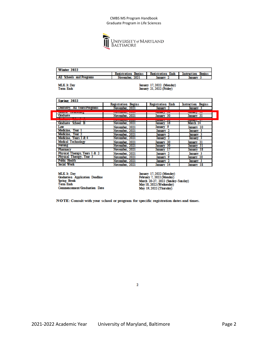

| Winter 2022                          |                               |                          |                              |
|--------------------------------------|-------------------------------|--------------------------|------------------------------|
|                                      | Registration<br><b>Begins</b> | <b>Registration Ends</b> | <b>Begins</b><br>Instruction |
| <b>All</b><br>. Schools and Programs | November.<br>2021             |                          |                              |

MLK Jr. Day<br>Term Ends

 $\overline{ }$ 

<span id="page-5-0"></span>January 17, 2022 (Monday)<br>January 21, 2022 (Friday)

| Spring 2022                                                                                                                                                                                                                                      |                                |                          |                           |
|--------------------------------------------------------------------------------------------------------------------------------------------------------------------------------------------------------------------------------------------------|--------------------------------|--------------------------|---------------------------|
|                                                                                                                                                                                                                                                  | <b>Registration Begins</b>     | <b>Registration Ends</b> | <b>Instruction Begins</b> |
| Dentistry, All Years/Programs                                                                                                                                                                                                                    | November, 2021                 | <b>January</b>           | January 3                 |
| <b><i><u>PARTICULAR CONTRACTORS IN THE RESIDENCE OF A RESIDENCE OF A RESIDENCE OF A RESIDENCE OF A RESIDENCE OF A RESIDENCE OF A RESIDENCE OF A RESIDENCE OF A RESIDENCE OF A RESIDENCE OF A RESIDENCE OF A RESIDENCE OF A RESIDENCE</u></i></b> | <b>SAME EMPLOYER AND FEE</b>   |                          | <b>Section</b>            |
| Graduate                                                                                                                                                                                                                                         | November, 2021                 | January 30               | January 31                |
|                                                                                                                                                                                                                                                  | <b>STRED MARKETING COMMAND</b> |                          | --<br>a seasonan p        |
| Graduate School B                                                                                                                                                                                                                                | November, 2021                 | Jampary<br>16            | March 14                  |
| Law                                                                                                                                                                                                                                              | November, 2021                 | - 9<br>January           | January 10                |
| Medicine. Year 1                                                                                                                                                                                                                                 | November, 2021                 | January 2                | January 3                 |
| Medicine. Year 2                                                                                                                                                                                                                                 | November, 2021                 | Jamuary                  | January 3                 |
| Medicine. Years 3 & 4                                                                                                                                                                                                                            | November, 2021                 | <b>January</b>           | lanuary                   |
| Medical Technology                                                                                                                                                                                                                               | November, 2021                 | January 30               | January 31                |
| Nursing                                                                                                                                                                                                                                          | November, 2021                 | Jamuary 30               | January 31                |
| <b>Pharmacy</b>                                                                                                                                                                                                                                  | November, 2021                 | <b>Jammary</b>           | January 18                |
| Physical Therapy, Years 1 & 2                                                                                                                                                                                                                    | November, 2021                 | January 2                | January 3                 |
| Physical Therapy, Year 3                                                                                                                                                                                                                         | November, 2021                 | January 9                | - 10<br>January           |
| <b>Public Health</b>                                                                                                                                                                                                                             | November, 2021                 | January                  | January<br>-3             |
| Social Work                                                                                                                                                                                                                                      | November, 2021                 | January<br>14            | 18<br>January             |

MLK Jr. Day **Graduation** Application Deadline Spring Break<br>Term Ends Commencement/Graduation Date January 17, 2022 (Monday)<br>February 7, 2022 (Monday)<br>March 20-27, 2022 (Sunday-Sunday)<br>May 18, 2022 (Wednesday)<br>May 19, 2022 (Thursday)

NOTE: Consult with your school or program for specific registration dates and times.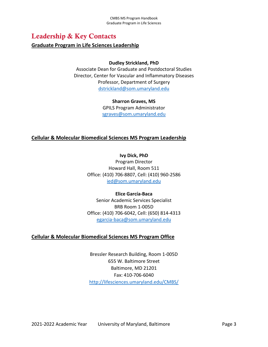## Leadership & Key Contacts

#### <span id="page-6-0"></span>**Graduate Program in Life Sciences Leadership**

#### **Dudley Strickland, PhD**

Associate Dean for Graduate and Postdoctoral Studies Director, Center for Vascular and Inflammatory Diseases Professor, Department of Surgery [dstrickland@som.umaryland.edu](mailto:dstrickland@som.umaryland.edu)

#### **Sharron Graves, MS**

GPILS Program Administrator [sgraves@som.umaryland.edu](mailto:sgraves@som.umaryland.edu)

#### <span id="page-6-1"></span>**Cellular & Molecular Biomedical Sciences MS Program Leadership**

**Ivy Dick, PhD** Program Director Howard Hall, Room 511 Office: (410) 706-8807, Cell: (410) 960-2586 [ied@som.umaryland.edu](mailto:ied@som.umaryland.edu)

#### **Elice García-Baca**

Senior Academic Services Specialist BRB Room 1-005D Office: (410) 706-6042, Cell: (650) 814-4313 [egarcia-baca@som.umaryland.edu](mailto:egarcia-baca@som.umaryland.edu)

#### <span id="page-6-2"></span>**Cellular & Molecular Biomedical Sciences MS Program Office**

Bressler Research Building, Room 1-005D 655 W. Baltimore Street Baltimore, MD 21201 Fax: 410-706-6040 <http://lifesciences.umaryland.edu/CMBS/>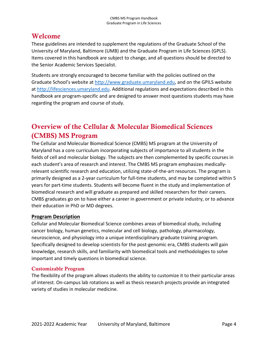## Welcome

These guidelines are intended to supplement the regulations of the Graduate School of the University of Maryland, Baltimore (UMB) and the Graduate Program in Life Sciences (GPLS). Items covered in this handbook are subject to change, and all questions should be directed to the Senior Academic Services Specialist.

Students are strongly encouraged to become familiar with the policies outlined on the Graduate School's website a[t http://www.graduate.umaryland.edu,](http://www.graduate.umaryland.edu/) and on the GPILS website at [http://lifesciences.umaryland.edu.](http://lifesciences.umaryland.edu/) Additional regulations and expectations described in this handbook are program-specific and are designed to answer most questions students may have regarding the program and course of study.

## <span id="page-7-0"></span>Overview of the Cellular & Molecular Biomedical Sciences (CMBS) MS Program

The Cellular and Molecular Biomedical Science (CMBS) MS program at the University of Maryland has a core curriculum incorporating subjects of importance to all students in the fields of cell and molecular biology. The subjects are then complemented by specific courses in each student's area of research and interest. The CMBS MS program emphasizes medicallyrelevant scientific research and education, utilizing state-of-the-art resources. The program is primarily designed as a 2-year curriculum for full-time students, and may be completed within 5 years for part-time students. Students will become fluent in the study and implementation of biomedical research and will graduate as prepared and skilled researchers for their careers. CMBS graduates go on to have either a career in government or private industry, or to advance their education in PhD or MD degrees.

#### <span id="page-7-1"></span>**Program Description**

Cellular and Molecular Biomedical Science combines areas of biomedical study, including cancer biology, human genetics, molecular and cell biology, pathology, pharmacology, neuroscience, and physiology into a unique interdisciplinary graduate training program. Specifically designed to develop scientists for the post-genomic era, CMBS students will gain knowledge, research skills, and familiarity with biomedical tools and methodologies to solve important and timely questions in biomedical science.

#### Customizable Program

The flexibility of the program allows students the ability to customize it to their particular areas of interest. On-campus lab rotations as well as thesis research projects provide an integrated variety of studies in molecular medicine.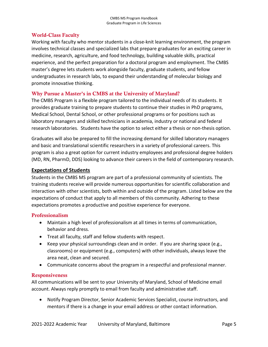#### World-Class Faculty

Working with faculty who mentor students in a close-knit learning environment, the program involves technical classes and specialized labs that prepare graduates for an exciting career in medicine, research, agriculture, and food technology, building valuable skills, practical experience, and the perfect preparation for a doctoral program and employment. The CMBS master's degree lets students work alongside faculty, graduate students, and fellow undergraduates in research labs, to expand their understanding of molecular biology and promote innovative thinking.

#### Why Pursue a Master's in CMBS at the University of Maryland?

The CMBS Program is a flexible program tailored to the individual needs of its students. It provides graduate training to prepare students to continue their studies in PhD programs, Medical School, Dental School, or other professional programs or for positions such as laboratory managers and skilled technicians in academia, industry or national and federal research laboratories. Students have the option to select either a thesis or non-thesis option.

Graduates will also be prepared to fill the increasing demand for skilled laboratory managers and basic and translational scientific researchers in a variety of professional careers. This program is also a great option for current industry employees and professional degree holders (MD, RN, PharmD, DDS) looking to advance their careers in the field of contemporary research.

#### <span id="page-8-0"></span>**Expectations of Students**

Students in the CMBS MS program are part of a professional community of scientists. The training students receive will provide numerous opportunities for scientific collaboration and interaction with other scientists, both within and outside of the program. Listed below are the expectations of conduct that apply to all members of this community. Adhering to these expectations promotes a productive and positive experience for everyone.

#### Professionalism

- Maintain a high level of professionalism at all times in terms of communication, behavior and dress.
- Treat all faculty, staff and fellow students with respect.
- Keep your physical surroundings clean and in order. If you are sharing space (e.g., classrooms) or equipment (e.g., computers) with other individuals, always leave the area neat, clean and secured.
- Communicate concerns about the program in a respectful and professional manner.

#### **Responsiveness**

All communications will be sent to your University of Maryland, School of Medicine email account. Always reply promptly to email from faculty and administrative staff.

• Notify Program Director, Senior Academic Services Specialist, course instructors, and mentors if there is a change in your email address or other contact information.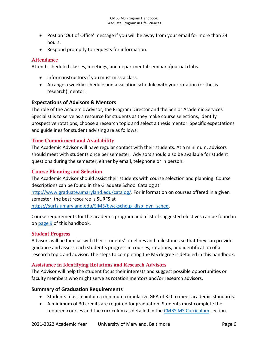- Post an 'Out of Office' message if you will be away from your email for more than 24 hours.
- Respond promptly to requests for information.

#### **Attendance**

Attend scheduled classes, meetings, and departmental seminars/journal clubs.

- Inform instructors if you must miss a class.
- Arrange a weekly schedule and a vacation schedule with your rotation (or thesis research) mentor.

#### <span id="page-9-0"></span>**Expectations of Advisors & Mentors**

The role of the Academic Advisor, the Program Director and the Senior Academic Services Specialist is to serve as a resource for students as they make course selections, identify prospective rotations, choose a research topic and select a thesis mentor. Specific expectations and guidelines for student advising are as follows:

#### Time Commitment and Availability

The Academic Advisor will have regular contact with their students. At a minimum, advisors should meet with students once per semester. Advisors should also be available for student questions during the semester, either by email, telephone or in person.

#### Course Planning and Selection

The Academic Advisor should assist their students with course selection and planning. Course descriptions can be found in the Graduate School Catalog at

[http://www.graduate.umaryland.edu/catalog/.](http://www.graduate.umaryland.edu/catalog/) For information on courses offered in a given semester, the best resource is SURFS at

[https://surfs.umaryland.edu/SIMS/bwckschd.p\\_disp\\_dyn\\_sched.](https://surfs.umaryland.edu/SIMS/bwckschd.p_disp_dyn_sched)

Course requirements for the academic program and a list of suggested electives can be found in on [page 9](#page-10-1) of this handbook.

#### Student Progress

Advisors will be familiar with their students' timelines and milestones so that they can provide guidance and assess each student's progress in courses, rotations, and identification of a research topic and advisor. The steps to completing the MS degree is detailed in this handbook.

#### Assistance in Identifying Rotations and Research Advisors

The Advisor will help the student focus their interests and suggest possible opportunities or faculty members who might serve as rotation mentors and/or research advisors.

#### <span id="page-9-1"></span>**Summary of Graduation Requirements**

- Students must maintain a minimum cumulative GPA of 3.0 to meet academic standards.
- A minimum of 30 credits are required for graduation. Students must complete the required courses and the curriculum as detailed in the [CMBS MS Curriculum](#page-10-2) section.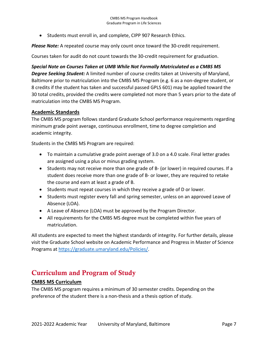• Students must enroll in, and complete, CIPP 907 Research Ethics.

*Please Note:* A repeated course may only count once toward the 30-credit requirement.

Courses taken for audit do not count towards the 30-credit requirement for graduation.

#### *Special Note on Courses Taken at UMB While Not Formally Matriculated as a CMBS MS*

*Degree Seeking Student:* A limited number of course credits taken at University of Maryland, Baltimore prior to matriculation into the CMBS MS Program (e.g. 6 as a non-degree student, or 8 credits if the student has taken and successful passed GPLS 601) may be applied toward the 30 total credits, provided the credits were completed not more than 5 years prior to the date of matriculation into the CMBS MS Program.

#### <span id="page-10-0"></span>**Academic Standards**

The CMBS MS program follows standard Graduate School performance requirements regarding minimum grade point average, continuous enrollment, time to degree completion and academic integrity.

Students in the CMBS MS Program are required:

- To maintain a cumulative grade point average of 3.0 on a 4.0 scale. Final letter grades are assigned using a plus or minus grading system.
- Students may not receive more than one grade of B- (or lower) in required courses. If a student does receive more than one grade of B- or lower, they are required to retake the course and earn at least a grade of B.
- Students must repeat courses in which they receive a grade of D or lower.
- Students must register every fall and spring semester, unless on an approved Leave of Absence (LOA).
- A Leave of Absence (LOA) must be approved by the Program Director.
- All requirements for the CMBS MS degree must be completed within five years of matriculation.

All students are expected to meet the highest standards of integrity. For further details, please visit the Graduate School website on Academic Performance and Progress in Master of Science Programs at [https://graduate.umaryland.edu/Policies/.](https://graduate.umaryland.edu/Policies/)

## <span id="page-10-1"></span>Curriculum and Program of Study

#### <span id="page-10-2"></span>**CMBS MS Curriculum**

The CMBS MS program requires a minimum of 30 semester credits. Depending on the preference of the student there is a non-thesis and a thesis option of study.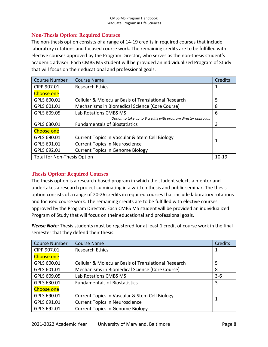#### Non-Thesis Option: Required Courses

The non-thesis option consists of a range of 14-19 credits in required courses that include laboratory rotations and focused course work. The remaining credits are to be fulfilled with elective courses approved by the Program Director, who serves as the non-thesis student's academic advisor. Each CMBS MS student will be provided an individualized Program of Study that will focus on their educational and professional goals.

| <b>Course Number</b>               | <b>Course Name</b>                                             | Credits   |
|------------------------------------|----------------------------------------------------------------|-----------|
| CIPP 907.01                        | <b>Research Ethics</b>                                         |           |
| <b>Choose one</b>                  |                                                                |           |
| GPLS 600.01                        | Cellular & Molecular Basis of Translational Research           | 5         |
| GPLS 601.01                        | Mechanisms in Biomedical Science (Core Course)                 | 8         |
| GPLS 609.05                        | Lab Rotations CMBS MS                                          | 6         |
|                                    | Option to take up to 9 credits with program director approval. |           |
| GPLS 630.01                        | <b>Fundamentals of Biostatistics</b>                           | 3         |
| <b>Choose one</b>                  |                                                                |           |
| GPLS 690.01                        | Current Topics in Vascular & Stem Cell Biology                 | 1         |
| GPLS 691.01                        | <b>Current Topics in Neuroscience</b>                          |           |
| GPLS 692.01                        | <b>Current Topics in Genome Biology</b>                        |           |
| <b>Total for Non-Thesis Option</b> |                                                                | $10 - 19$ |

#### Thesis Option: Required Courses

The thesis option is a research-based program in which the student selects a mentor and undertakes a research project culminating in a written thesis and public seminar. The thesis option consists of a range of 20-26 credits in required courses that include laboratory rotations and focused course work. The remaining credits are to be fulfilled with elective courses approved by the Program Director. Each CMBS MS student will be provided an individualized Program of Study that will focus on their educational and professional goals.

*Please Note:* Thesis students must be registered for at least 1 credit of course work in the final semester that they defend their thesis.

| <b>Course Number</b> | <b>Course Name</b>                                              | <b>Credits</b> |
|----------------------|-----------------------------------------------------------------|----------------|
| CIPP 907.01          | <b>Research Ethics</b>                                          |                |
| <b>Choose one</b>    |                                                                 |                |
| GPLS 600.01          | <b>Cellular &amp; Molecular Basis of Translational Research</b> | 5              |
| GPLS 601.01          | Mechanisms in Biomedical Science (Core Course)                  | 8              |
| GPLS 609.05          | Lab Rotations CMBS MS<br>$3 - 6$                                |                |
| GPLS 630.01          | <b>Fundamentals of Biostatistics</b>                            | 3              |
| <b>Choose one</b>    |                                                                 |                |
| GPLS 690.01          | Current Topics in Vascular & Stem Cell Biology                  |                |
| GPLS 691.01          | <b>Current Topics in Neuroscience</b>                           | 1              |
| GPLS 692.01          | <b>Current Topics in Genome Biology</b>                         |                |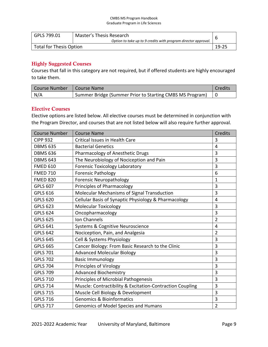| GPLS 799.01             | Master's Thesis Research                                       |       |
|-------------------------|----------------------------------------------------------------|-------|
|                         | Option to take up to 9 credits with program director approval. |       |
| Total for Thesis Option |                                                                | 19-25 |

#### Highly Suggested Courses

Courses that fall in this category are not required, but if offered students are highly encouraged to take them.

| Course Number | I Course Name                                            | Credits |
|---------------|----------------------------------------------------------|---------|
| N/A           | Summer Bridge (Summer Prior to Starting CMBS MS Program) |         |

#### Elective Courses

Elective options are listed below. All elective courses must be determined in conjunction with the Program Director, and courses that are not listed below will also require further approval.

| <b>Course Number</b> | <b>Course Name</b>                                             | Credits        |
|----------------------|----------------------------------------------------------------|----------------|
| <b>CIPP 932</b>      | Critical Issues in Health Care                                 | 3              |
| <b>DBMS 635</b>      | <b>Bacterial Genetics</b>                                      | 4              |
| <b>DBMS 636</b>      | Pharmacology of Anesthetic Drugs                               | 3              |
| <b>DBMS 643</b>      | The Neurobiology of Nociception and Pain                       | 3              |
| <b>FMED 610</b>      | <b>Forensic Toxicology Laboratory</b>                          | 3              |
| <b>FMED 710</b>      | <b>Forensic Pathology</b>                                      | 6              |
| <b>FMED 820</b>      | <b>Forensic Neuropathology</b>                                 | $\mathbf{1}$   |
| <b>GPLS 607</b>      | Principles of Pharmacology                                     | 3              |
| <b>GPLS 616</b>      | Molecular Mechanisms of Signal Transduction                    | 3              |
| <b>GPLS 620</b>      | Cellular Basis of Synaptic Physiology & Pharmacology           | 4              |
| <b>GPLS 623</b>      | <b>Molecular Toxicology</b>                                    | 3              |
| <b>GPLS 624</b>      | Oncopharmacology                                               | 3              |
| <b>GPLS 625</b>      | Ion Channels                                                   | $\overline{2}$ |
| <b>GPLS 641</b>      | Systems & Cognitive Neuroscience                               |                |
| <b>GPLS 642</b>      | Nociception, Pain, and Analgesia                               |                |
| <b>GPLS 645</b>      | Cell & Systems Physiology                                      | 3              |
| <b>GPLS 665</b>      | Cancer Biology: From Basic Research to the Clinic              | 3              |
| <b>GPLS 701</b>      | <b>Advanced Molecular Biology</b>                              | 3              |
| <b>GPLS 702</b>      | <b>Basic Immunology</b>                                        | 3              |
| <b>GPLS 704</b>      | <b>Principles of Virology</b>                                  | 3              |
| <b>GPLS 709</b>      | <b>Advanced Biochemistry</b><br>3                              |                |
| <b>GPLS 710</b>      | Principles of Microbial Pathogenesis<br>3                      |                |
| <b>GPLS 714</b>      | Muscle: Contractibility & Excitation-Contraction Coupling<br>3 |                |
| <b>GPLS 715</b>      | Muscle Cell Biology & Development                              | 3              |
| <b>GPLS 716</b>      | <b>Genomics &amp; Bioinformatics</b>                           | 3              |
| <b>GPLS 717</b>      | Genomics of Model Species and Humans                           | $\overline{2}$ |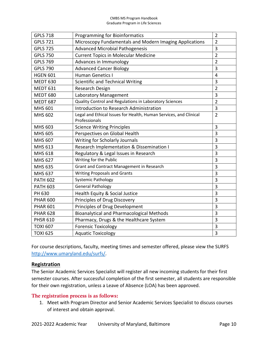| <b>GPLS 718</b> | <b>Programming for Bioinformatics</b>                             | $\overline{2}$ |
|-----------------|-------------------------------------------------------------------|----------------|
| <b>GPLS 721</b> | Microscopy Fundamentals and Modern Imaging Applications           | $\overline{2}$ |
| <b>GPLS 725</b> | <b>Advanced Microbial Pathogenesis</b>                            | 3              |
| <b>GPLS 750</b> | <b>Current Topics in Molecular Medicine</b>                       | $\overline{2}$ |
| <b>GPLS 769</b> | Advances in Immunology                                            | $\overline{2}$ |
| <b>GPLS 790</b> | <b>Advanced Cancer Biology</b>                                    | 3              |
| <b>HGEN 601</b> | <b>Human Genetics I</b>                                           | $\overline{4}$ |
| <b>MEDT 630</b> | Scientific and Technical Writing                                  | 3              |
| <b>MEDT 631</b> | Research Design                                                   | $\overline{2}$ |
| <b>MEDT 680</b> | Laboratory Management                                             | 3              |
| <b>MEDT 687</b> | Quality Control and Regulations in Laboratory Sciences            | $\overline{2}$ |
| <b>MHS 601</b>  | Introduction to Research Administration                           | 3              |
| MHS 602         | Legal and Ethical Issues for Health, Human Services, and Clinical | $\overline{2}$ |
|                 | Professionals                                                     |                |
| MHS 603         | <b>Science Writing Principles</b>                                 | 3              |
| <b>MHS 605</b>  | Perspectives on Global Health                                     | 3              |
| MHS 607         | Writing for Scholarly Journals                                    | 3              |
| MHS 613         | Research Implementation & Dissemination I                         | 3              |
| MHS 618         | Regulatory & Legal Issues in Research                             | 3              |
| <b>MHS 627</b>  | Writing for the Public                                            | 3              |
| <b>MHS 635</b>  | Grant and Contract Management in Research                         | 3              |
| <b>MHS 637</b>  | <b>Writing Proposals and Grants</b>                               | 3              |
| <b>PATH 602</b> | <b>Systemic Pathology</b>                                         | 3              |
| <b>PATH 603</b> | <b>General Pathology</b>                                          | 3              |
| PH 630          | Health Equity & Social Justice                                    | 3              |
| <b>PHAR 600</b> | Principles of Drug Discovery                                      | 3              |
| <b>PHAR 601</b> | Principles of Drug Development                                    | 3              |
| <b>PHAR 628</b> | <b>Bioanalytical and Pharmacological Methods</b>                  | 3              |
| <b>PHSR 610</b> | Pharmacy, Drugs & the Healthcare System                           | 3              |
| <b>TOXI 607</b> | <b>Forensic Toxicology</b>                                        | 3              |
| <b>TOXI 625</b> | <b>Aquatic Toxicology</b>                                         | 3              |

For course descriptions, faculty, meeting times and semester offered, please view the SURFS [http://www.umaryland.edu/surfs/.](http://www.umaryland.edu/surfs/)

#### <span id="page-13-0"></span>**Registration**

The Senior Academic Services Specialist will register all new incoming students for their first semester courses. After successful completion of the first semester, all students are responsible for their own registration, unless a Leave of Absence (LOA) has been approved.

#### The registration process is as follows:

1. Meet with Program Director and Senior Academic Services Specialist to discuss courses of interest and obtain approval.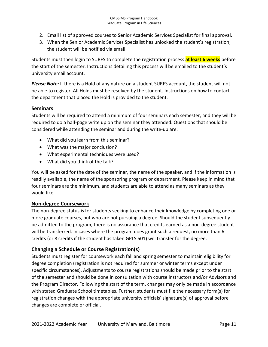- 2. Email list of approved courses to Senior Academic Services Specialist for final approval.
- 3. When the Senior Academic Services Specialist has unlocked the student's registration, the student will be notified via email.

Students must then login to SURFS to complete the registration process **at least 6 weeks** before the start of the semester. Instructions detailing this process will be emailed to the student's university email account.

*Please Note:* If there is a Hold of any nature on a student SURFS account, the student will not be able to register. All Holds must be resolved by the student. Instructions on how to contact the department that placed the Hold is provided to the student.

#### <span id="page-14-0"></span>**Seminars**

Students will be required to attend a minimum of four seminars each semester, and they will be required to do a half-page write up on the seminar they attended. Questions that should be considered while attending the seminar and during the write-up are:

- What did you learn from this seminar?
- What was the major conclusion?
- What experimental techniques were used?
- What did you think of the talk?

You will be asked for the date of the seminar, the name of the speaker, and if the information is readily available, the name of the sponsoring program or department. Please keep in mind that four seminars are the minimum, and students are able to attend as many seminars as they would like.

#### **Non-degree Coursework**

The non-degree status is for students seeking to enhance their knowledge by completing one or more graduate courses, but who are not pursuing a degree. Should the student subsequently be admitted to the program, there is no assurance that credits earned as a non-degree student will be transferred. In cases where the program does grant such a request, no more than 6 credits (or 8 credits if the student has taken GPLS 601) will transfer for the degree.

#### <span id="page-14-1"></span>**Changing a Schedule or Course Registration(s)**

Students must register for coursework each fall and spring semester to maintain eligibility for degree completion (registration is not required for summer or winter terms except under specific circumstances). Adjustments to course registrations should be made prior to the start of the semester and should be done in consultation with course instructors and/or Advisors and the Program Director. Following the start of the term, changes may only be made in accordance with stated Graduate School timetables. Further, students must file the necessary form(s) for registration changes with the appropriate university officials' signature(s) of approval before changes are complete or official.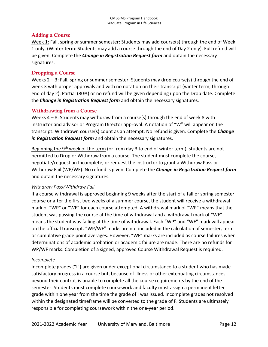#### Adding a Course

Week 1: Fall, spring or summer semester: Students may add course(s) through the end of Week 1 only. (Winter term: Students may add a course through the end of Day 2 only). Full refund will be given. Complete the *Change in Registration Request form* and obtain the necessary signatures.

#### Dropping a Course

Weeks  $2 - 3$ : Fall, spring or summer semester: Students may drop course(s) through the end of week 3 with proper approvals and with no notation on their transcript (winter term, through end of day 2). Partial (80%) or no refund will be given depending upon the Drop date. Complete the *Change in Registration Request form* and obtain the necessary signatures.

#### Withdrawing from a Course

Weeks  $4 - 8$ : Students may withdraw from a course(s) through the end of week 8 with instructor and advisor or Program Director approval. A notation of "W" will appear on the transcript. Withdrawn course(s) count as an attempt. No refund is given. Complete the *Change in Registration Request form* and obtain the necessary signatures.

Beginning the 9<sup>th</sup> week of the term (or from day 3 to end of winter term), students are not permitted to Drop or Withdraw from a course. The student must complete the course, negotiate/request an Incomplete, or request the instructor to grant a Withdraw Pass or Withdraw Fail (WP/WF). No refund is given. Complete the *Change in Registration Request form* and obtain the necessary signatures.

#### *Withdraw Pass/Withdraw Fail*

If a course withdrawal is approved beginning 9 weeks after the start of a fall or spring semester course or after the first two weeks of a summer course, the student will receive a withdrawal mark of "WP" or "WF" for each course attempted. A withdrawal mark of "WP" means that the student was passing the course at the time of withdrawal and a withdrawal mark of "WF" means the student was failing at the time of withdrawal. Each "WP" and "WF" mark will appear on the official transcript. "WP/WF" marks are not included in the calculation of semester, term or cumulative grade point averages. However, "WF" marks are included as course failures when determinations of academic probation or academic failure are made. There are no refunds for WP/WF marks. Completion of a signed, approved Course Withdrawal Request is required.

#### *Incomplete*

Incomplete grades ("I") are given under exceptional circumstance to a student who has made satisfactory progress in a course but, because of illness or other extenuating circumstances beyond their control, is unable to complete all the course requirements by the end of the semester. Students must complete coursework and faculty must assign a permanent letter grade within one year from the time the grade of I was issued. Incomplete grades not resolved within the designated timeframe will be converted to the grade of F. Students are ultimately responsible for completing coursework within the one-year period.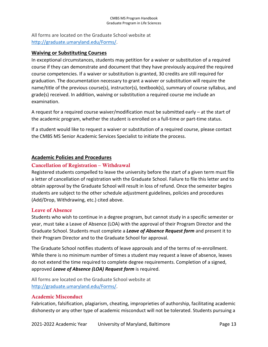All forms are located on the Graduate School website at [http://graduate.umaryland.edu/Forms/.](http://graduate.umaryland.edu/Forms/)

#### <span id="page-16-0"></span>**Waiving or Substituting Courses**

In exceptional circumstances, students may petition for a waiver or substitution of a required course if they can demonstrate and document that they have previously acquired the required course competencies. If a waiver or substitution is granted, 30 credits are still required for graduation. The documentation necessary to grant a waiver or substitution will require the name/title of the previous course(s), instructor(s), textbook(s), summary of course syllabus, and grade(s) received. In addition, waiving or substitution a required course me include an examination.

A request for a required course waiver/modification must be submitted early – at the start of the academic program, whether the student is enrolled on a full-time or part-time status.

If a student would like to request a waiver or substitution of a required course, please contact the CMBS MS Senior Academic Services Specialist to initiate the process.

#### <span id="page-16-1"></span>**Academic Policies and Procedures**

#### Cancellation of Registration – Withdrawal

Registered students compelled to leave the university before the start of a given term must file a letter of cancellation of registration with the Graduate School. Failure to file this letter and to obtain approval by the Graduate School will result in loss of refund. Once the semester begins students are subject to the other schedule adjustment guidelines, policies and procedures (Add/Drop, Withdrawing, etc.) cited above.

#### Leave of Absence

Students who wish to continue in a degree program, but cannot study in a specific semester or year, must take a Leave of Absence (LOA) with the approval of their Program Director and the Graduate School. Students must complete a *Leave of Absence Request form* and present it to their Program Director and to the Graduate School for approval.

The Graduate School notifies students of leave approvals and of the terms of re-enrollment. While there is no minimum number of times a student may request a leave of absence, leaves do not extend the time required to complete degree requirements. Completion of a signed, approved *Leave of Absence (LOA) Request form* is required.

All forms are located on the Graduate School website at [http://graduate.umaryland.edu/Forms/.](http://graduate.umaryland.edu/Forms/)

#### Academic Misconduct

Fabrication, falsification, plagiarism, cheating, improprieties of authorship, facilitating academic dishonesty or any other type of academic misconduct will not be tolerated. Students pursuing a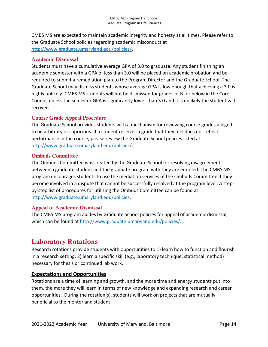CMBS MS are expected to maintain academic integrity and honesty at all times. Please refer to the Graduate School policies regarding academic misconduct at [http://www.graduate.umaryland.edu/policies/.](http://www.graduate.umaryland.edu/policies/)

#### Academic Dismissal

Students must have a cumulative average GPA of 3.0 to graduate. Any student finishing an academic semester with a GPA of less than 3.0 will be placed on academic probation and be required to submit a remediation plan to the Program Director and the Graduate School. The Graduate School may dismiss students whose average GPA is low enough that achieving a 3.0 is highly unlikely. CMBS MS students will not be dismissed for grades of B- or below in the Core Course, unless the semester GPA is significantly lower than 3.0 and it is unlikely the student will recover.

#### Course Grade Appeal Procedure

The Graduate School provides students with a mechanism for reviewing course grades alleged to be arbitrary or capricious. If a student receives a grade that they feel does not reflect performance in the course, please review the Graduate School policies listed at [http://www.graduate.umaryland.edu/policies/.](http://www.graduate.umaryland.edu/policies/)

#### Ombuds Committee

The Ombuds Committee was created by the Graduate School for resolving disagreements between a graduate student and the graduate program with they are enrolled. The CMBS MS program encourages students to use the mediation services of the Ombuds Committee if they become involved in a dispute that cannot be successfully resolved at the program level. A stepby-step list of procedures for utilizing the Ombuds Committee can be found at [http://www.graduate.umaryland.edu/policies.](http://www.graduate.umaryland.edu/policies)

#### Appeal of Academic Dismissal

The CMBS MS program abides by Graduate School policies for appeal of academic dismissal, which can be found a[t http://www.graduate.umaryland.edu/policies/.](http://www.graduate.umaryland.edu/policies/)

## <span id="page-17-0"></span>Laboratory Rotations

Research rotations provide students with opportunities to 1) learn how to function and flourish in a research setting; 2) learn a specific skill (e.g., laboratory technique, statistical method) necessary for thesis or continued lab work.

#### <span id="page-17-1"></span>**Expectations and Opportunities**

Rotations are a time of learning and growth, and the more time and energy students put into them, the more they will learn in terms of new knowledge and expanding research and career opportunities. During the rotation(s), students will work on projects that are mutually beneficial to the mentor and student.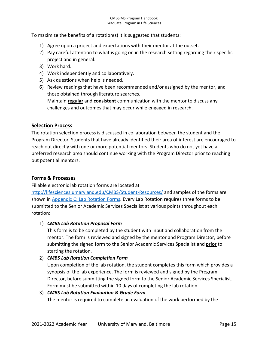To maximize the benefits of a rotation(s) it is suggested that students:

- 1) Agree upon a project and expectations with their mentor at the outset.
- 2) Pay careful attention to what is going on in the research setting regarding their specific project and in general.
- 3) Work hard.
- 4) Work independently and collaboratively.
- 5) Ask questions when help is needed.
- 6) Review readings that have been recommended and/or assigned by the mentor, and those obtained through literature searches.

Maintain **regular** and **consistent** communication with the mentor to discuss any challenges and outcomes that may occur while engaged in research.

#### <span id="page-18-0"></span>**Selection Process**

The rotation selection process is discussed in collaboration between the student and the Program Director. Students that have already identified their area of interest are encouraged to reach out directly with one or more potential mentors. Students who do not yet have a preferred research area should continue working with the Program Director prior to reaching out potential mentors.

#### <span id="page-18-1"></span>**Forms & Processes**

Fillable electronic lab rotation forms are located at

<http://lifesciences.umaryland.edu/CMBS/Student-Resources/> and samples of the forms are shown i[n Appendix C: Lab Rotation Forms.](#page-34-0) Every Lab Rotation requires three forms to be submitted to the Senior Academic Services Specialist at various points throughout each rotation:

#### 1) *CMBS Lab Rotation Proposal Form*

This form is to be completed by the student with input and collaboration from the mentor. The form is reviewed and signed by the mentor and Program Director, before submitting the signed form to the Senior Academic Services Specialist and **prior** to starting the rotation.

#### 2) *CMBS Lab Rotation Completion Form*

Upon completion of the lab rotation, the student completes this form which provides a synopsis of the lab experience. The form is reviewed and signed by the Program Director, before submitting the signed form to the Senior Academic Services Specialist. Form must be submitted within 10 days of completing the lab rotation.

```
3) CMBS Lab Rotation Evaluation & Grade Form
The mentor is required to complete an evaluation of the work performed by the
```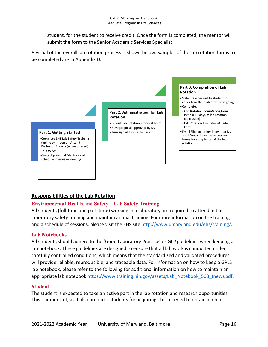student, for the student to receive credit. Once the form is completed, the mentor will submit the form to the Senior Academic Services Specialist.

A visual of the overall lab rotation process is shown below. Samples of the lab rotation forms to be completed are in Appendix D.



#### <span id="page-19-0"></span>**Responsibilities of the Lab Rotation**

#### Environmental Health and Safety – Lab Safety Training

All students (full-time and part-time) working in a laboratory are required to attend initial laboratory safety training and maintain annual training. For more information on the training and a schedule of sessions, please visit the EHS site [http://www.umaryland.edu/ehs/training/.](http://www.umaryland.edu/ehs/training/)

#### Lab Notebooks

All students should adhere to the 'Good Laboratory Practice' or GLP guidelines when keeping a lab notebook. These guidelines are designed to ensure that all lab work is conducted under carefully controlled conditions, which means that the standardized and validated procedures will provide reliable, reproducible, and traceable data. For information on how to keep a GPLS lab notebook, please refer to the following for additional information on how to maintain an appropriate lab notebook [https://www.training.nih.gov/assets/Lab\\_Notebook\\_508\\_\(new\).pdf.](https://www.training.nih.gov/assets/Lab_Notebook_508_(new).pdf)

#### **Student**

The student is expected to take an active part in the lab rotation and research opportunities. This is important, as it also prepares students for acquiring skills needed to obtain a job or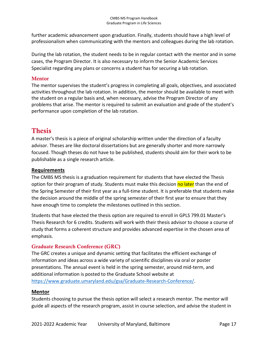further academic advancement upon graduation. Finally, students should have a high level of professionalism when communicating with the mentors and colleagues during the lab rotation.

During the lab rotation, the student needs to be in regular contact with the mentor and in some cases, the Program Director. It is also necessary to inform the Senior Academic Services Specialist regarding any plans or concerns a student has for securing a lab rotation.

#### Mentor

The mentor supervises the student's progress in completing all goals, objectives, and associated activities throughout the lab rotation. In addition, the mentor should be available to meet with the student on a regular basis and, when necessary, advise the Program Director of any problems that arise. The mentor is required to submit an evaluation and grade of the student's performance upon completion of the lab rotation.

## <span id="page-20-0"></span>Thesis

A master's thesis is a piece of original scholarship written under the direction of a faculty advisor. Theses are like doctoral dissertations but are generally shorter and more narrowly focused. Though theses do not have to be published, students should aim for their work to be publishable as a single research article.

#### <span id="page-20-1"></span>**Requirements**

The CMBS MS thesis is a graduation requirement for students that have elected the Thesis option for their program of study. Students must make this decision no later than the end of the Spring Semester of their first year as a full-time student. It is preferable that students make the decision around the middle of the spring semester of their first year to ensure that they have enough time to complete the milestones outlined in this section.

Students that have elected the thesis option are required to enroll in GPLS 799.01 Master's Thesis Research for 6 credits. Students will work with their thesis advisor to choose a course of study that forms a coherent structure and provides advanced expertise in the chosen area of emphasis.

#### Graduate Research Conference (GRC)

The GRC creates a unique and dynamic setting that facilitates the efficient exchange of information and ideas across a wide variety of scientific disciplines via oral or poster presentations. The annual event is held in the spring semester, around mid-term, and additional information is posted to the Graduate School website at [https://www.graduate.umaryland.edu/gsa/Graduate-Research-Conference/.](https://www.graduate.umaryland.edu/gsa/Graduate-Research-Conference/)

#### <span id="page-20-2"></span>**Mentor**

Students choosing to pursue the thesis option will select a research mentor. The mentor will guide all aspects of the research program, assist in course selection, and advise the student in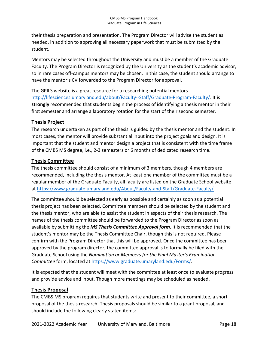their thesis preparation and presentation. The Program Director will advise the student as needed, in addition to approving all necessary paperwork that must be submitted by the student.

Mentors may be selected throughout the University and must be a member of the Graduate Faculty. The Program Director is recognized by the University as the student's academic advisor, so in rare cases off-campus mentors may be chosen. In this case, the student should arrange to have the mentor's CV forwarded to the Program Director for approval.

The GPILS website is a great resource for a researching potential mentors [http://lifesciences.umaryland.edu/about/Faculty--Staff/Graduate-Program-Faculty/.](http://lifesciences.umaryland.edu/about/Faculty--Staff/Graduate-Program-Faculty/) It is **strongly** recommended that students begin the process of identifying a thesis mentor in their first semester and arrange a laboratory rotation for the start of their second semester.

#### <span id="page-21-0"></span>**Thesis Project**

The research undertaken as part of the thesis is guided by the thesis mentor and the student. In most cases, the mentor will provide substantial input into the project goals and design. It is important that the student and mentor design a project that is consistent with the time frame of the CMBS MS degree, i.e., 2-3 semesters or 6 months of dedicated research time.

#### <span id="page-21-1"></span>**Thesis Committee**

The thesis committee should consist of a minimum of 3 members, though 4 members are recommended, including the thesis mentor. At least one member of the committee must be a regular member of the Graduate Faculty, all faculty are listed on the Graduate School website at [https://www.graduate.umaryland.edu/About/Faculty-and-Staff/Graduate-Faculty/.](https://www.graduate.umaryland.edu/About/Faculty-and-Staff/Graduate-Faculty/)

The committee should be selected as early as possible and certainly as soon as a potential thesis project has been selected. Committee members should be selected by the student and the thesis mentor, who are able to assist the student in aspects of their thesis research. The names of the thesis committee should be forwarded to the Program Director as soon as available by submitting the *MS Thesis Committee Approval form*. It is recommended that the student's mentor may be the Thesis Committee Chair, though this is not required. Please confirm with the Program Director that this will be approved. Once the committee has been approved by the program director, the committee approval is to formally be filed with the Graduate School using the *Nomination or Members for the Final Master's Examination Committee* form, located at [https://www.graduate.umaryland.edu/Forms/.](https://www.graduate.umaryland.edu/Forms/)

It is expected that the student will meet with the committee at least once to evaluate progress and provide advice and input. Though more meetings may be scheduled as needed.

#### <span id="page-21-2"></span>**Thesis Proposal**

The CMBS MS program requires that students write and present to their committee, a short proposal of the thesis research. Thesis proposals should be similar to a grant proposal, and should include the following clearly stated items: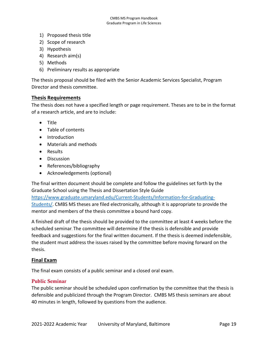- 1) Proposed thesis title
- 2) Scope of research
- 3) Hypothesis
- 4) Research aim(s)
- 5) Methods
- 6) Preliminary results as appropriate

The thesis proposal should be filed with the Senior Academic Services Specialist, Program Director and thesis committee.

#### <span id="page-22-0"></span>**Thesis Requirements**

The thesis does not have a specified length or page requirement. Theses are to be in the format of a research article, and are to include:

- Title
- Table of contents
- Introduction
- Materials and methods
- Results
- Discussion
- References/bibliography
- Acknowledgements (optional)

The final written document should be complete and follow the guidelines set forth by the Graduate School using the Thesis and Dissertation Style Guide

[https://www.graduate.umaryland.edu/Current-Students/Information-for-Graduating-](https://www.graduate.umaryland.edu/Current-Students/Information-for-Graduating-Students/)

[Students/.](https://www.graduate.umaryland.edu/Current-Students/Information-for-Graduating-Students/) CMBS MS theses are filed electronically, although it is appropriate to provide the mentor and members of the thesis committee a bound hard copy.

A finished draft of the thesis should be provided to the committee at least 4 weeks before the scheduled seminar. The committee will determine if the thesis is defensible and provide feedback and suggestions for the final written document. If the thesis is deemed indefensible, the student must address the issues raised by the committee before moving forward on the thesis.

#### <span id="page-22-1"></span>**Final Exam**

The final exam consists of a public seminar and a closed oral exam.

#### Public Seminar

The public seminar should be scheduled upon confirmation by the committee that the thesis is defensible and publicized through the Program Director. CMBS MS thesis seminars are about 40 minutes in length, followed by questions from the audience.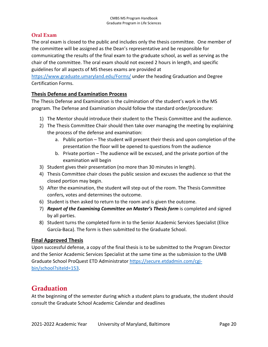#### Oral Exam

The oral exam is closed to the public and includes only the thesis committee. One member of the committee will be assigned as the Dean's representative and be responsible for communicating the results of the final exam to the graduate school, as well as serving as the chair of the committee. The oral exam should not exceed 2 hours in length, and specific guidelines for all aspects of MS theses exams are provided at

<https://www.graduate.umaryland.edu/Forms/> under the heading Graduation and Degree Certification Forms.

#### <span id="page-23-0"></span>**Thesis Defense and Examination Process**

The Thesis Defense and Examination is the culmination of the student's work in the MS program. The Defense and Examination should follow the standard order/procedure:

- 1) The Mentor should introduce their student to the Thesis Committee and the audience.
- 2) The Thesis Committee Chair should then take over managing the meeting by explaining the process of the defense and examination:
	- a. Public portion The student will present their thesis and upon completion of the presentation the floor will be opened to questions from the audience
	- b. Private portion The audience will be excused, and the private portion of the examination will begin
- 3) Student gives their presentation (no more than 30 minutes in length).
- 4) Thesis Committee chair closes the public session and excuses the audience so that the closed portion may begin.
- 5) After the examination, the student will step out of the room. The Thesis Committee confers, votes and determines the outcome.
- 6) Student is then asked to return to the room and is given the outcome.
- 7) *Report of the Examining Committee on Master's Thesis form* is completed and signed by all parties.
- 8) Student turns the completed form in to the Senior Academic Services Specialist (Elice García-Baca). The form is then submitted to the Graduate School.

#### <span id="page-23-1"></span>**Final Approved Thesis**

Upon successful defense, a copy of the final thesis is to be submitted to the Program Director and the Senior Academic Services Specialist at the same time as the submission to the UMB Graduate School ProQuest ETD Administrator [https://secure.etdadmin.com/cgi](https://secure.etdadmin.com/cgi-bin/school?siteId=153)[bin/school?siteId=153.](https://secure.etdadmin.com/cgi-bin/school?siteId=153)

## <span id="page-23-2"></span>**Graduation**

At the beginning of the semester during which a student plans to graduate, the student should consult the Graduate School Academic Calendar and deadlines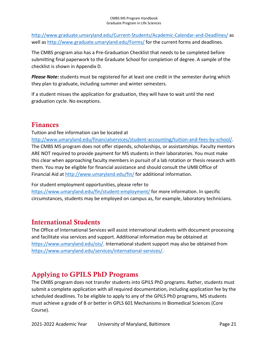<http://www.graduate.umaryland.edu/Current-Students/Academic-Calendar-and-Deadlines/> as well as<http://www.graduate.umaryland.edu/Forms/> for the current forms and deadlines.

The CMBS program also has a Pre-Graduation Checklist that needs to be completed before submitting final paperwork to the Graduate School for completion of degree. A sample of the checklist is shown in Appendix D.

*Please Note:* students must be registered for at least one credit in the semester during which they plan to graduate, including summer and winter semesters.

If a student misses the application for graduation, they will have to wait until the next graduation cycle. No exceptions.

## <span id="page-24-0"></span>Finances

Tuition and fee information can be located at

[http://www.umaryland.edu/financialservices/student-accounting/tuition-and-fees-by-school/.](http://www.umaryland.edu/financialservices/student-accounting/tuition-and-fees-by-school/) The CMBS MS program does not offer stipends, scholarships, or assistantships. Faculty mentors ARE NOT required to provide payment for MS students in their laboratories. You must make this clear when approaching faculty members in pursuit of a lab rotation or thesis research with them. You may be eligible for financial assistance and should consult the UMB Office of Financial Aid at<http://www.umaryland.edu/fin/> for additional information.

For student employment opportunities, please refer to

<https://www.umaryland.edu/fin/student-employment/> for more information. In specific circumstances, students may be employed on campus as, for example, laboratory technicians.

## <span id="page-24-1"></span>International Students

The Office of International Services will assist international students with document processing and facilitate visa services and support. Additional information may be obtained at [https://www.umaryland.edu/ois/.](https://www.umaryland.edu/ois/) International student support may also be obtained from [https://www.umaryland.edu/services/international-services/.](https://www.umaryland.edu/services/international-services/)

## <span id="page-24-2"></span>Applying to GPILS PhD Programs

The CMBS program does not transfer students into GPILS PhD programs. Rather, students must submit a complete application with all required documentation, including application fee by the scheduled deadlines. To be eligible to apply to any of the GPILS PhD programs, MS students must achieve a grade of B or better in GPLS 601 Mechanisms in Biomedical Sciences (Core Course).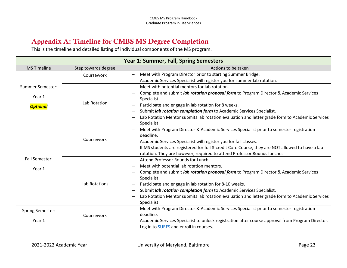## Appendix A: Timeline for CMBS MS Degree Completion

This is the timeline and detailed listing of individual components of the MS program.

<span id="page-26-0"></span>

| Year 1: Summer, Fall, Spring Semesters               |                     |                                                                                                                                                                                                                                                                                                                                                                                                                                                                                                                                |  |
|------------------------------------------------------|---------------------|--------------------------------------------------------------------------------------------------------------------------------------------------------------------------------------------------------------------------------------------------------------------------------------------------------------------------------------------------------------------------------------------------------------------------------------------------------------------------------------------------------------------------------|--|
| <b>MS Timeline</b>                                   | Step towards degree | Actions to be taken                                                                                                                                                                                                                                                                                                                                                                                                                                                                                                            |  |
|                                                      | Coursework          | Meet with Program Director prior to starting Summer Bridge.<br>$\overline{\phantom{0}}$<br>Academic Services Specialist will register you for summer lab rotation.                                                                                                                                                                                                                                                                                                                                                             |  |
| <b>Summer Semester:</b><br>Year 1<br><b>Optional</b> | Lab Rotation        | Meet with potential mentors for lab rotation.<br>Complete and submit <i>lab rotation proposal form</i> to Program Director & Academic Services<br>Specialist.<br>Participate and engage in lab rotation for 8 weeks.<br>Submit lab rotation completion form to Academic Services Specialist.<br>$\qquad \qquad -$<br>Lab Rotation Mentor submits lab rotation evaluation and letter grade form to Academic Services<br>$\qquad \qquad -$<br>Specialist.                                                                        |  |
|                                                      | Coursework          | Meet with Program Director & Academic Services Specialist prior to semester registration<br>deadline.<br>Academic Services Specialist will register you for fall classes.<br>If MS students are registered for full 8-credit Core Course, they are NOT allowed to have a lab<br>$\overline{\phantom{m}}$<br>rotation. They are however, required to attend Professor Rounds lunches.                                                                                                                                           |  |
| <b>Fall Semester:</b><br>Year 1                      | Lab Rotations       | Attend Professor Rounds for Lunch<br>Meet with potential lab rotation mentors.<br>$\qquad \qquad -$<br>Complete and submit <i>lab rotation proposal form</i> to Program Director & Academic Services<br>Specialist.<br>Participate and engage in lab rotation for 8-10 weeks.<br>Submit lab rotation completion form to Academic Services Specialist.<br>$\overline{\phantom{0}}$<br>Lab Rotation Mentor submits lab rotation evaluation and letter grade form to Academic Services<br>$\overline{\phantom{m}}$<br>Specialist. |  |
| <b>Spring Semester:</b><br>Year 1                    | Coursework          | Meet with Program Director & Academic Services Specialist prior to semester registration<br>deadline.<br>Academic Services Specialist to unlock registration after course approval from Program Director.<br>Log in to SURFS and enroll in courses.<br>$\qquad \qquad -$                                                                                                                                                                                                                                                       |  |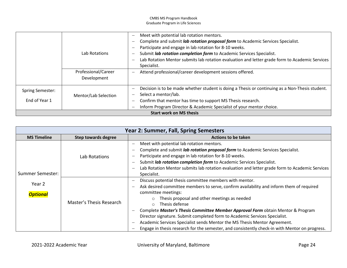|                                          | Lab Rotations<br>Professional/Career<br>Development | Meet with potential lab rotation mentors.<br>Complete and submit lab rotation proposal form to Academic Services Specialist.<br>Participate and engage in lab rotation for 8-10 weeks.<br>Submit lab rotation completion form to Academic Services Specialist.<br>Lab Rotation Mentor submits lab rotation evaluation and letter grade form to Academic Services<br>Specialist.<br>Attend professional/career development sessions offered. |
|------------------------------------------|-----------------------------------------------------|---------------------------------------------------------------------------------------------------------------------------------------------------------------------------------------------------------------------------------------------------------------------------------------------------------------------------------------------------------------------------------------------------------------------------------------------|
| <b>Spring Semester:</b><br>End of Year 1 | Mentor/Lab Selection                                | Decision is to be made whether student is doing a Thesis or continuing as a Non-Thesis student.<br>Select a mentor/lab.<br>Confirm that mentor has time to support MS Thesis research.<br>$\overline{\phantom{m}}$<br>Inform Program Director & Academic Specialist of your mentor choice.                                                                                                                                                  |
|                                          |                                                     | <b>Start work on MS thesis</b>                                                                                                                                                                                                                                                                                                                                                                                                              |

|                           |                          | <b>Year 2: Summer, Fall, Spring Semesters</b>                                                                                                                                                                                                                                                                                                                                                                                                                                                                                                                                                                      |
|---------------------------|--------------------------|--------------------------------------------------------------------------------------------------------------------------------------------------------------------------------------------------------------------------------------------------------------------------------------------------------------------------------------------------------------------------------------------------------------------------------------------------------------------------------------------------------------------------------------------------------------------------------------------------------------------|
| <b>MS Timeline</b>        | Step towards degree      | <b>Actions to be taken</b>                                                                                                                                                                                                                                                                                                                                                                                                                                                                                                                                                                                         |
| Summer Semester:          | Lab Rotations            | Meet with potential lab rotation mentors.<br>Complete and submit lab rotation proposal form to Academic Services Specialist.<br>Participate and engage in lab rotation for 8-10 weeks.<br>Submit lab rotation completion form to Academic Services Specialist.<br>$\overline{\phantom{0}}$<br>Lab Rotation Mentor submits lab rotation evaluation and letter grade form to Academic Services<br>Specialist.                                                                                                                                                                                                        |
| Year 2<br><b>Optional</b> | Master's Thesis Research | Discuss potential thesis committee members with mentor.<br>Ask desired committee members to serve, confirm availability and inform them of required<br>committee meetings:<br>Thesis proposal and other meetings as needed<br>$\circ$<br>Thesis defense<br>$\circ$<br>Complete Master's Thesis Committee Member Approval Form obtain Mentor & Program<br>Director signature. Submit completed form to Academic Services Specialist.<br>Academic Services Specialist sends Mentor the MS Thesis Mentor Agreement.<br>Engage in thesis research for the semester, and consistently check-in with Mentor on progress. |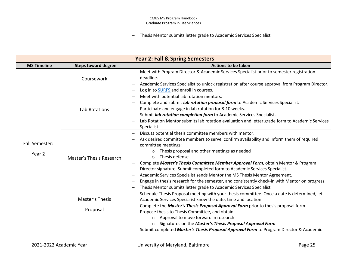|  | Thesis Mentor submits letter grade to Academic Services Specialist. |
|--|---------------------------------------------------------------------|
|  |                                                                     |

|                                 |                             | <b>Year 2: Fall &amp; Spring Semesters</b>                                                                                                                                                                                                                                                                                                                                                                                                                                                                                                                                                                                                                                                                     |
|---------------------------------|-----------------------------|----------------------------------------------------------------------------------------------------------------------------------------------------------------------------------------------------------------------------------------------------------------------------------------------------------------------------------------------------------------------------------------------------------------------------------------------------------------------------------------------------------------------------------------------------------------------------------------------------------------------------------------------------------------------------------------------------------------|
| <b>MS Timeline</b>              | <b>Steps toward degree</b>  | <b>Actions to be taken</b>                                                                                                                                                                                                                                                                                                                                                                                                                                                                                                                                                                                                                                                                                     |
|                                 | Coursework                  | Meet with Program Director & Academic Services Specialist prior to semester registration<br>deadline.<br>Academic Services Specialist to unlock registration after course approval from Program Director.<br>Log in to SURFS and enroll in courses.                                                                                                                                                                                                                                                                                                                                                                                                                                                            |
|                                 | Lab Rotations               | Meet with potential lab rotation mentors.<br>Complete and submit lab rotation proposal form to Academic Services Specialist.<br>Participate and engage in lab rotation for 8-10 weeks.<br>$\overline{\phantom{0}}$<br>Submit lab rotation completion form to Academic Services Specialist.<br>Lab Rotation Mentor submits lab rotation evaluation and letter grade form to Academic Services<br>$\overline{\phantom{0}}$<br>Specialist.                                                                                                                                                                                                                                                                        |
| <b>Fall Semester:</b><br>Year 2 | Master's Thesis Research    | Discuss potential thesis committee members with mentor.<br>Ask desired committee members to serve, confirm availability and inform them of required<br>committee meetings:<br>Thesis proposal and other meetings as needed<br>Thesis defense<br>$\bigcirc$<br>Complete Master's Thesis Committee Member Approval Form, obtain Mentor & Program<br>Director signature. Submit completed form to Academic Services Specialist.<br>Academic Services Specialist sends Mentor the MS Thesis Mentor Agreement.<br>$\overline{\phantom{0}}$<br>Engage in thesis research for the semester, and consistently check-in with Mentor on progress.<br>Thesis Mentor submits letter grade to Academic Services Specialist. |
|                                 | Master's Thesis<br>Proposal | Schedule Thesis Proposal meeting with your thesis committee. Once a date is determined, let<br>$\qquad \qquad -$<br>Academic Services Specialist know the date, time and location.<br>Complete the Master's Thesis Proposal Approval Form prior to thesis proposal form.<br>Propose thesis to Thesis Committee, and obtain:<br>Approval to move forward in research<br>Signatures on the Master's Thesis Proposal Approval Form<br>Submit completed Master's Thesis Proposal Approval Form to Program Director & Academic                                                                                                                                                                                      |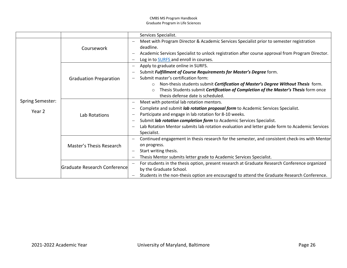|                         |                               | Services Specialist.                                                                             |
|-------------------------|-------------------------------|--------------------------------------------------------------------------------------------------|
|                         |                               | Meet with Program Director & Academic Services Specialist prior to semester registration         |
|                         | Coursework                    | deadline.                                                                                        |
|                         |                               | Academic Services Specialist to unlock registration after course approval from Program Director. |
|                         |                               | Log in to <b>SURFS</b> and enroll in courses.                                                    |
|                         |                               | Apply to graduate online in SURFS.                                                               |
|                         |                               | Submit Fulfillment of Course Requirements for Master's Degree form.<br>$\overline{\phantom{0}}$  |
|                         | <b>Graduation Preparation</b> | Submit master's certification form:                                                              |
|                         |                               | Non-thesis students submit Certification of Master's Degree Without Thesis form.<br>$\circ$      |
|                         |                               | Thesis Students submit Certification of Completion of the Master's Thesis form once<br>$\circ$   |
|                         |                               | thesis defense date is scheduled.                                                                |
| <b>Spring Semester:</b> |                               | Meet with potential lab rotation mentors.                                                        |
|                         |                               | Complete and submit lab rotation proposal form to Academic Services Specialist.                  |
| Year 2                  | Lab Rotations                 | Participate and engage in lab rotation for 8-10 weeks.                                           |
|                         |                               | Submit lab rotation completion form to Academic Services Specialist.                             |
|                         |                               | Lab Rotation Mentor submits lab rotation evaluation and letter grade form to Academic Services   |
|                         |                               | Specialist.                                                                                      |
|                         |                               | Continued engagement in thesis research for the semester, and consistent check-ins with Mentor   |
|                         | Master's Thesis Research      | on progress.                                                                                     |
|                         |                               | Start writing thesis.                                                                            |
|                         |                               | Thesis Mentor submits letter grade to Academic Services Specialist.                              |
|                         |                               | For students in the thesis option, present research at Graduate Research Conference organized    |
|                         | Graduate Research Conference  | by the Graduate School.                                                                          |
|                         |                               | Students in the non-thesis option are encouraged to attend the Graduate Research Conference.     |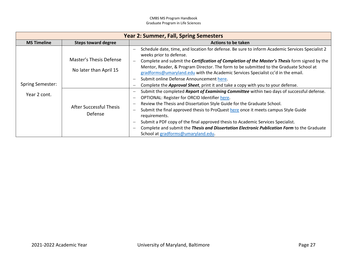|                                         |                                                                                                | <b>Year 2: Summer, Fall, Spring Semesters</b>                                                                                                                                                                                                                                                                                                                                                                                                                                                                                                                                                                                                                                                                                                                                                                                                                                                                                                                                                                                                                                                            |
|-----------------------------------------|------------------------------------------------------------------------------------------------|----------------------------------------------------------------------------------------------------------------------------------------------------------------------------------------------------------------------------------------------------------------------------------------------------------------------------------------------------------------------------------------------------------------------------------------------------------------------------------------------------------------------------------------------------------------------------------------------------------------------------------------------------------------------------------------------------------------------------------------------------------------------------------------------------------------------------------------------------------------------------------------------------------------------------------------------------------------------------------------------------------------------------------------------------------------------------------------------------------|
| <b>MS Timeline</b>                      | <b>Steps toward degree</b>                                                                     | Actions to be taken                                                                                                                                                                                                                                                                                                                                                                                                                                                                                                                                                                                                                                                                                                                                                                                                                                                                                                                                                                                                                                                                                      |
| <b>Spring Semester:</b><br>Year 2 cont. | Master's Thesis Defense<br>No later than April 15<br><b>After Successful Thesis</b><br>Defense | Schedule date, time, and location for defense. Be sure to inform Academic Services Specialist 2<br>weeks prior to defense.<br>Complete and submit the Certification of Completion of the Master's Thesis form signed by the<br>Mentor, Reader, & Program Director. The form to be submitted to the Graduate School at<br>gradforms@umaryland.edu with the Academic Services Specialist cc'd in the email.<br>Submit online Defense Announcement here.<br>Complete the <b>Approval Sheet</b> , print it and take a copy with you to your defense.<br>Submit the completed Report of Examining Committee within two days of successful defense.<br>OPTIONAL: Register for ORCID Identifier here.<br>Review the Thesis and Dissertation Style Guide for the Graduate School.<br>Submit the final approved thesis to ProQuest here once it meets campus Style Guide<br>requirements.<br>Submit a PDF copy of the final approved thesis to Academic Services Specialist.<br>Complete and submit the Thesis and Dissertation Electronic Publication Form to the Graduate<br>School at gradforms@umaryland.edu. |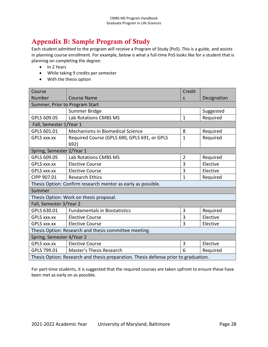## <span id="page-31-0"></span>Appendix B: Sample Program of Study

Each student admitted to the program will receive a Program of Study (PoS). This is a guide, and assists in planning course enrollment. For example, below is what a full-time PoS looks like for a student that is planning on completing the degree:

- In 2 Years
- While taking 9 credits per semester
- With the thesis option

| Course                         |                                                                                     | Credit         |             |
|--------------------------------|-------------------------------------------------------------------------------------|----------------|-------------|
| Number                         | <b>Course Name</b>                                                                  | S              | Designation |
| Summer, Prior to Program Start |                                                                                     |                |             |
|                                | Summer Bridge                                                                       |                | Suggested   |
| GPLS 609.05                    | Lab Rotations CMBS MS                                                               | $\mathbf{1}$   | Required    |
| Fall, Semester 1/Year 1        |                                                                                     |                |             |
| GPLS 601.01                    | Mechanisms in Biomedical Science                                                    | 8              | Required    |
| <b>GPLS XXX.XX</b>             | Required Course (GPLS 690, GPLS 691, or GPLS                                        | $\mathbf{1}$   | Required    |
|                                | 692)                                                                                |                |             |
| Spring, Semester 2/Year 1      |                                                                                     |                |             |
| GPLS 609.05                    | Lab Rotations CMBS MS                                                               | $\overline{2}$ | Required    |
| <b>GPLS XXX.XX</b>             | <b>Elective Course</b>                                                              | 3              | Elective    |
| GPLS xxx.xx                    | <b>Elective Course</b>                                                              | 3              | Elective    |
| CIPP 907.01                    | <b>Research Ethics</b>                                                              | $\mathbf{1}$   | Required    |
|                                | Thesis Option: Confirm research mentor as early as possible.                        |                |             |
| Summer                         |                                                                                     |                |             |
|                                | Thesis Option: Work on thesis proposal.                                             |                |             |
| Fall, Semester 3/Year 2        |                                                                                     |                |             |
| GPLS 630.01                    | <b>Fundamentals in Biostatistics</b>                                                | 3              | Required    |
| GPLS xxx.xx                    | <b>Elective Course</b>                                                              | 3              | Elective    |
| GPLS xxx.xx                    | <b>Elective Course</b>                                                              | 3              | Elective    |
|                                | Thesis Option: Research and thesis committee meeting.                               |                |             |
| Spring, Semester 4/Year 2      |                                                                                     |                |             |
| <b>GPLS XXX.XX</b>             | <b>Elective Course</b>                                                              | 3              | Elective    |
| GPLS 799.01                    | <b>Master's Thesis Research</b>                                                     | 6              | Required    |
|                                | Thesis Option: Research and thesis preparation. Thesis defense prior to graduation. |                |             |

For part-time students, it is suggested that the required courses are taken upfront to ensure these have been met as early on as possible.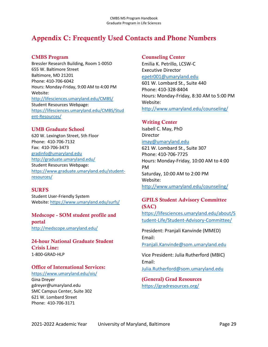## <span id="page-32-0"></span>Appendix C: Frequently Used Contacts and Phone Numbers

#### CMBS Program

Bressler Research Building, Room 1-005D 655 W. Baltimore Street Baltimore, MD 21201 Phone: 410-706-6042 Hours: Monday-Friday, 9:00 AM to 4:00 PM Website: <http://lifesciences.umaryland.edu/CMBS/> Student Resources Webpage: [https://lifesciences.umaryland.edu/CMBS/Stud](https://lifesciences.umaryland.edu/CMBS/Student-Resources/) [ent-Resources/](https://lifesciences.umaryland.edu/CMBS/Student-Resources/)

#### UMB Graduate School

620 W. Lexington Street, 5th Floor Phone: 410-706-7132 Fax: 410-706-3473 [gradinfo@umaryland.edu](mailto:gradinfo@umaryland.edu) <http://graduate.umaryland.edu/> Student Resources Webpage: [https://www.graduate.umaryland.edu/student](https://www.graduate.umaryland.edu/student-resources/)[resources/](https://www.graduate.umaryland.edu/student-resources/)

#### **SURFS**

Student User-Friendly System Website[: https://www.umaryland.edu/surfs/](https://www.umaryland.edu/surfs/)

#### Medscope - SOM student profile and portal <http://medscope.umaryland.edu/>

24-hour National Graduate Student Crisis Line: 1-800-GRAD-HLP

#### Office of International Services:

<https://www.umaryland.edu/ois/> Gina Dreyer gdreyer@umaryland.edu SMC Campus Center, Suite 302 621 W. Lombard Street Phone: 410-706-3171

#### Counseling Center

Emilia K. Petrillo, LCSW-C Executive Director [epetr001@umaryland.edu](mailto:epetr001@umaryland.edu) 601 W. Lombard St., Suite 440 Phone: 410-328-8404

Hours: Monday-Friday, 8:30 AM to 5:00 PM Website: <http://www.umaryland.edu/counseling/>

#### Writing Center

Isabell C. May, PhD **Director** [imay@umaryland.edu](mailto:imay@umaryland.edu) 621 W. Lombard St., Suite 307 Phone: 410-706-7725 Hours: Monday-Friday, 10:00 AM to 4:00 PM Saturday, 10:00 AM to 2:00 PM Website: <http://www.umaryland.edu/counseling/>

#### GPILS Student Advisory Committee (SAC)

[https://lifesciences.umaryland.edu/about/S](https://lifesciences.umaryland.edu/about/Student-Life/Student-Advisory-Committee/) [tudent-Life/Student-Advisory-Committee/](https://lifesciences.umaryland.edu/about/Student-Life/Student-Advisory-Committee/)

President: Pranjali Kanvinde (MMED) Email: [Pranjali.Kanvinde@som.umaryland.edu](mailto:Pranjali.Kanvinde@som.umaryland.edu)

Vice President: Julia Rutherford (MBIC) Email:

[Julia.Rutherford@som.umaryland.edu](mailto:Julia.Rutherford@som.umaryland.edu)

(General) Grad Resources <https://gradresources.org/>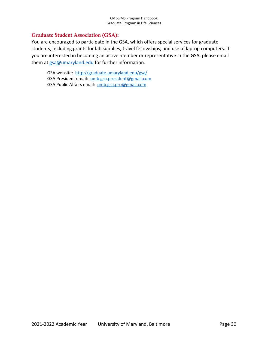#### Graduate Student Association (GSA):

You are encouraged to participate in the GSA, which offers special services for graduate students, including grants for lab supplies, travel fellowships, and use of laptop computers. If you are interested in becoming an active member or representative in the GSA, please email them at  $gsa@umaryland.edu$  for further information.

GSA website: <http://graduate.umaryland.edu/gsa/> GSA President email: [umb.gsa.president@gmail.com](mailto:umb.gsa.president@gmail.com) GSA Public Affairs email: [umb.gsa.pro@gmail.com](mailto:umb.gsa.pro@gmail.com)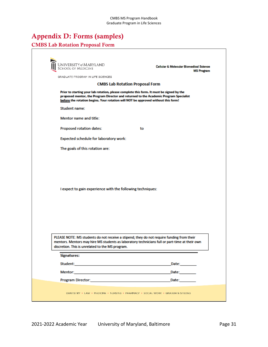## <span id="page-34-0"></span>Appendix D: Forms (samples)

#### CMBS Lab Rotation Proposal Form

| UNIVERSITY@MARYLAND<br>School of Medicine                                                                                                                                                                                           | Cellular & Molecular Biornedical Science<br><b>MS Program</b>                                                                                                                               |
|-------------------------------------------------------------------------------------------------------------------------------------------------------------------------------------------------------------------------------------|---------------------------------------------------------------------------------------------------------------------------------------------------------------------------------------------|
| GRADUATE PROGRAM IN LIFE SCIENCES.                                                                                                                                                                                                  |                                                                                                                                                                                             |
|                                                                                                                                                                                                                                     | <b>CMBS Lab Rotation Proposal Form</b>                                                                                                                                                      |
| before the rotation begins. Your rotation will NOT be approved without this form!                                                                                                                                                   | Prior to starting your lab rotation, please complete this form. It must be signed by the<br>proposed mentor, the Program Director and returned to the Academic Program Specialist           |
| Student name:                                                                                                                                                                                                                       |                                                                                                                                                                                             |
| Mentor name and title:                                                                                                                                                                                                              |                                                                                                                                                                                             |
| Proposed rotation dates:                                                                                                                                                                                                            | to                                                                                                                                                                                          |
| Expected schedule for laboratory work:                                                                                                                                                                                              |                                                                                                                                                                                             |
| The goals of this rotation are:                                                                                                                                                                                                     |                                                                                                                                                                                             |
| I expect to gain experience with the following techniques:                                                                                                                                                                          |                                                                                                                                                                                             |
| discretion. This is unrelated to the MS program.                                                                                                                                                                                    | PLEASE NOTE: MS students do not receive a stipend; they do not require funding from their<br>mentors. Mentors may hire MS students as laboratory technicians full or part-time at their own |
| <b>Signatures:</b>                                                                                                                                                                                                                  |                                                                                                                                                                                             |
|                                                                                                                                                                                                                                     | Date: <b>Date:</b>                                                                                                                                                                          |
| <b>Mentor:</b> We are a series of the contract of the contract of the contract of the contract of the contract of the contract of the contract of the contract of the contract of the contract of the contract of the contract of t | Date: <b>Date</b>                                                                                                                                                                           |
| Program Director: <b>Example 2018</b> The Contract of the Contract of the Contract of the Contract of the Contract of the Contract of the Contract of the Contract of the Contract of the Contract of the Contract of the Contract  | Date: and the state of the state of the state of the state of the state of the state of the state of the state                                                                              |
|                                                                                                                                                                                                                                     | DENTISTRY · LAW · MEDICINE · NURSING · PHARMACY · SOCIAL WORK · GRADUATE STUDIES                                                                                                            |
|                                                                                                                                                                                                                                     |                                                                                                                                                                                             |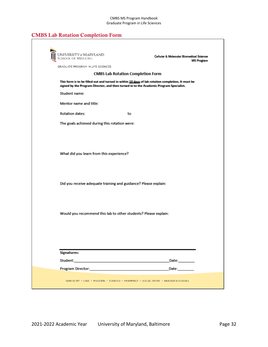### CMBS Lab Rotation Completion Form

| UNIVERSITY of MARYLAND<br>School of Medicine<br>GRADUATE PROGRAM IN LIFE SCIENCES. | Cellular & Molecular Biornedical Science<br><b>MS Program</b>                                                                                                                                                                 |
|------------------------------------------------------------------------------------|-------------------------------------------------------------------------------------------------------------------------------------------------------------------------------------------------------------------------------|
|                                                                                    | <b>CMBS Lab Rotation Completion Form</b>                                                                                                                                                                                      |
|                                                                                    | This form is to be filled out and turned in within 10 days of lab rotation completion. It must be<br>signed by the Program Director, and then turned in to the Academic Program Specialist.                                   |
| Student name:                                                                      |                                                                                                                                                                                                                               |
| Mentor name and title:                                                             |                                                                                                                                                                                                                               |
| <b>Rotation dates:</b>                                                             | to                                                                                                                                                                                                                            |
| The goals achieved during this rotation were:                                      |                                                                                                                                                                                                                               |
| What did you learn from this experience?                                           |                                                                                                                                                                                                                               |
| Did you receive adequate training and guidance? Please explain:                    |                                                                                                                                                                                                                               |
|                                                                                    | Would you recommend this lab to other students? Please explain:                                                                                                                                                               |
| <b>Signatures:</b>                                                                 | Date: and the state of the state of the state of the state of the state of the state of the state of the state of the state of the state of the state of the state of the state of the state of the state of the state of the |
| Program Director: <b>Example 2018</b>                                              | Date: and the state of the state of the state of the state of the state of the state of the state of the state                                                                                                                |
|                                                                                    | DENTISTRY · LAW · MEDICINE · NURSING · PHARMACY · SOCIAL WORK · GRADUATE STUDIES                                                                                                                                              |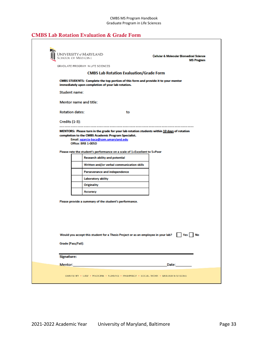#### CMBS Lab Rotation Evaluation & Grade Form

|                        | UNIVERSITY@MARYLAND<br>School of Medicine                                                                                                                                                                                           |    | Cellular & Molecular Biornedical Science<br><b>MS Program</b>                               |
|------------------------|-------------------------------------------------------------------------------------------------------------------------------------------------------------------------------------------------------------------------------------|----|---------------------------------------------------------------------------------------------|
|                        | GRADUATE PROGRAM IN LIFE SCIENCES.                                                                                                                                                                                                  |    |                                                                                             |
|                        | <b>CMBS Lab Rotation Evaluation/Grade Form</b>                                                                                                                                                                                      |    |                                                                                             |
|                        | CMBS STUDENTS: Complete the top portion of this form and provide it to your mentor<br>immediately upon completion of your lab rotation.                                                                                             |    |                                                                                             |
| Student name:          |                                                                                                                                                                                                                                     |    |                                                                                             |
| Mentor name and title: |                                                                                                                                                                                                                                     |    |                                                                                             |
| <b>Rotation dates:</b> |                                                                                                                                                                                                                                     | to |                                                                                             |
| Credits (1-3):         |                                                                                                                                                                                                                                     |    |                                                                                             |
|                        |                                                                                                                                                                                                                                     |    | MENTORS: Please turn in the grade for your lab rotation students within 10 days of rotation |
|                        | completion to the CMBS Academic Program Specialist.<br>Email: egarcia-baca@som.umaryland.edu<br><b>Office: BRB 1-005D</b>                                                                                                           |    |                                                                                             |
|                        | Please rate the student's performance on a scale of 1=Excellent to 5=Poor                                                                                                                                                           |    |                                                                                             |
|                        | <b>Research ability and potential</b>                                                                                                                                                                                               |    |                                                                                             |
|                        | Written and/or verbal communication skills                                                                                                                                                                                          |    |                                                                                             |
|                        | Perseverance and independence                                                                                                                                                                                                       |    |                                                                                             |
|                        | Laboratory ability                                                                                                                                                                                                                  |    |                                                                                             |
|                        | <b>Originality</b>                                                                                                                                                                                                                  |    |                                                                                             |
|                        | Accuracy                                                                                                                                                                                                                            |    |                                                                                             |
|                        | Please provide a summary of the student's performance.                                                                                                                                                                              |    |                                                                                             |
|                        |                                                                                                                                                                                                                                     |    |                                                                                             |
|                        |                                                                                                                                                                                                                                     |    |                                                                                             |
|                        | Would you accept this student for a Thesis Project or as an employee in your lab?                                                                                                                                                   |    | Yes No                                                                                      |
| Grade (Pass/Fail):     |                                                                                                                                                                                                                                     |    |                                                                                             |
|                        |                                                                                                                                                                                                                                     |    |                                                                                             |
| <b>Signature:</b>      |                                                                                                                                                                                                                                     |    |                                                                                             |
|                        | <b>Mentor:</b> We have a series of the series of the series of the series of the series of the series of the series of the series of the series of the series of the series of the series of the series of the series of the series |    | Date:_________                                                                              |